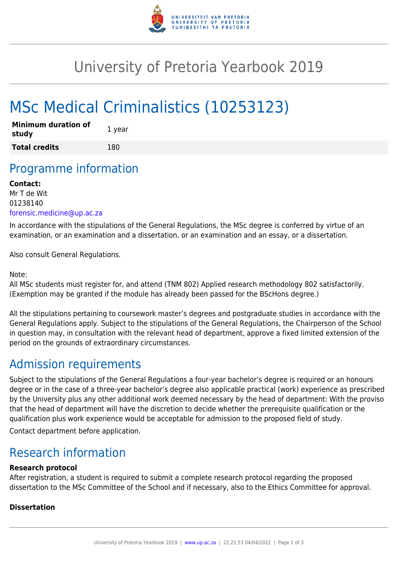

## University of Pretoria Yearbook 2019

# MSc Medical Criminalistics (10253123)

| <b>Minimum duration of</b><br>study | 1 year |
|-------------------------------------|--------|
| <b>Total credits</b>                | 180    |

### Programme information

#### **Contact:**

Mr T de Wit 01238140 [forensic.medicine@up.ac.za](mailto:forensic.medicine@up.ac.za)

In accordance with the stipulations of the General Regulations, the MSc degree is conferred by virtue of an examination, or an examination and a dissertation, or an examination and an essay, or a dissertation.

Also consult General Regulations.

#### Note:

All MSc students must register for, and attend (TNM 802) Applied research methodology 802 satisfactorily. (Exemption may be granted if the module has already been passed for the BScHons degree.)

All the stipulations pertaining to coursework master's degrees and postgraduate studies in accordance with the General Regulations apply. Subject to the stipulations of the General Regulations, the Chairperson of the School in question may, in consultation with the relevant head of department, approve a fixed limited extension of the period on the grounds of extraordinary circumstances.

### Admission requirements

Subject to the stipulations of the General Regulations a four-year bachelor's degree is required or an honours degree or in the case of a three-year bachelor's degree also applicable practical (work) experience as prescribed by the University plus any other additional work deemed necessary by the head of department: With the proviso that the head of department will have the discretion to decide whether the prerequisite qualification or the qualification plus work experience would be acceptable for admission to the proposed field of study.

Contact department before application.

### Research information

#### **Research protocol**

After registration, a student is required to submit a complete research protocol regarding the proposed dissertation to the MSc Committee of the School and if necessary, also to the Ethics Committee for approval.

#### **Dissertation**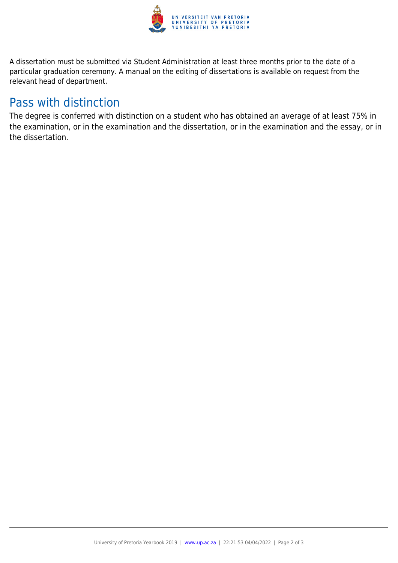

A dissertation must be submitted via Student Administration at least three months prior to the date of a particular graduation ceremony. A manual on the editing of dissertations is available on request from the relevant head of department.

### Pass with distinction

The degree is conferred with distinction on a student who has obtained an average of at least 75% in the examination, or in the examination and the dissertation, or in the examination and the essay, or in the dissertation.